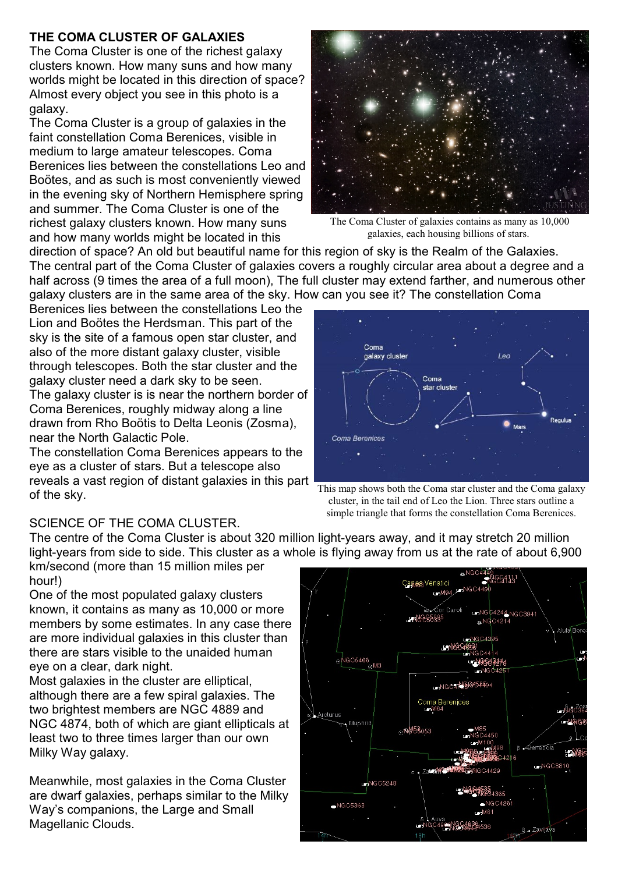## **THE COMA CLUSTER OF GALAXIES**

The Coma Cluster is one of the richest galaxy clusters known. How many suns and how many worlds might be located in this direction of space? Almost every object you see in this photo is a galaxy.

The Coma Cluster is a group of galaxies in the faint constellation Coma Berenices, visible in medium to large amateur telescopes. Coma Berenices lies between the constellations Leo and Boötes, and as such is most conveniently viewed in the evening sky of Northern Hemisphere spring and summer. The Coma Cluster is one of the richest galaxy clusters known. How many suns and how many worlds might be located in this



The Coma Cluster of galaxies contains as many as 10,000 galaxies, each housing billions of stars.

direction of space? An old but beautiful name for this region of sky is the Realm of the Galaxies. The central part of the Coma Cluster of galaxies covers a roughly circular area about a degree and a half across (9 times the area of a full moon), The full cluster may extend farther, and numerous other galaxy clusters are in the same area of the sky. How can you see it? The constellation Coma

Berenices lies between the constellations Leo the Lion and Boötes the Herdsman. This part of the sky is the site of a famous open star cluster, and also of the more distant galaxy cluster, visible through telescopes. Both the star cluster and the galaxy cluster need a dark sky to be seen. The galaxy cluster is is near the northern border of Coma Berenices, roughly midway along a line drawn from Rho Boötis to Delta Leonis (Zosma), near the North Galactic Pole.

The constellation Coma Berenices appears to the eye as a cluster of stars. But a telescope also reveals a vast region of distant galaxies in this part of the sky.

## SCIENCE OF THE COMA CLUSTER.

The centre of the Coma Cluster is about 320 million light-years away, and it may stretch 20 million light-years from side to side. This cluster as a whole is flying away from us at the rate of about 6,900

km/second (more than 15 million miles per hour!)

One of the most populated galaxy clusters known, it contains as many as 10,000 or more members by some estimates. In any case there are more individual galaxies in this cluster than there are stars visible to the unaided human eye on a clear, dark night.

Most galaxies in the cluster are elliptical, although there are a few spiral galaxies. The two brightest members are NGC 4889 and NGC 4874, both of which are giant ellipticals at least two to three times larger than our own Milky Way galaxy.

Meanwhile, most galaxies in the Coma Cluster are dwarf galaxies, perhaps similar to the Milky Way's companions, the Large and Small Magellanic Clouds.



This map shows both the Coma star cluster and the Coma galaxy cluster, in the tail end of Leo the Lion. Three stars outline a simple triangle that forms the constellation Coma Berenices.